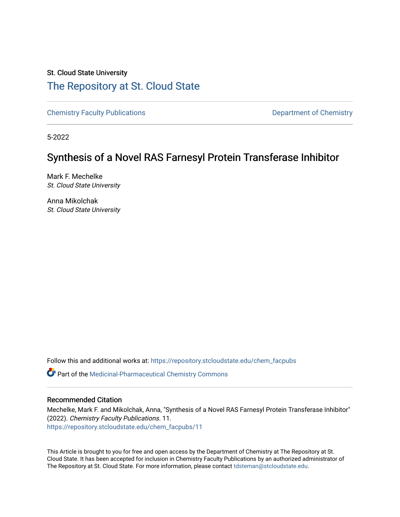# St. Cloud State University [The Repository at St. Cloud State](https://repository.stcloudstate.edu/)

[Chemistry Faculty Publications](https://repository.stcloudstate.edu/chem_facpubs) **Department of Chemistry** 

5-2022

# Synthesis of a Novel RAS Farnesyl Protein Transferase Inhibitor

Mark F. Mechelke St. Cloud State University

Anna Mikolchak St. Cloud State University

Follow this and additional works at: [https://repository.stcloudstate.edu/chem\\_facpubs](https://repository.stcloudstate.edu/chem_facpubs?utm_source=repository.stcloudstate.edu%2Fchem_facpubs%2F11&utm_medium=PDF&utm_campaign=PDFCoverPages) 

**C** Part of the Medicinal-Pharmaceutical Chemistry Commons

# Recommended Citation

Mechelke, Mark F. and Mikolchak, Anna, "Synthesis of a Novel RAS Farnesyl Protein Transferase Inhibitor" (2022). Chemistry Faculty Publications. 11. [https://repository.stcloudstate.edu/chem\\_facpubs/11](https://repository.stcloudstate.edu/chem_facpubs/11?utm_source=repository.stcloudstate.edu%2Fchem_facpubs%2F11&utm_medium=PDF&utm_campaign=PDFCoverPages)

This Article is brought to you for free and open access by the Department of Chemistry at The Repository at St. Cloud State. It has been accepted for inclusion in Chemistry Faculty Publications by an authorized administrator of The Repository at St. Cloud State. For more information, please contact [tdsteman@stcloudstate.edu](mailto:tdsteman@stcloudstate.edu).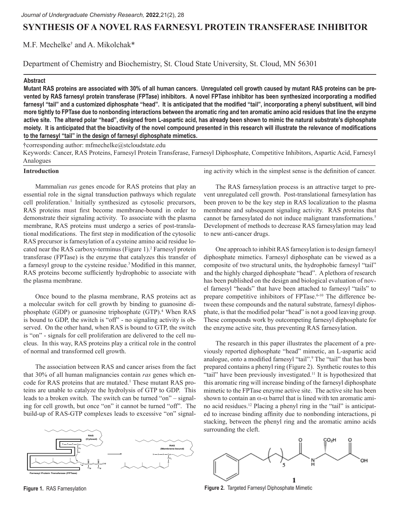# **SYNTHESIS OF A NOVEL RAS FARNESYL PROTEIN TRANSFERASE INHIBITOR**

# M.F. Mechelke† and A. Mikolchak\*

Department of Chemistry and Biochemistry, St. Cloud State University, St. Cloud, MN 56301

#### **Abstract**

**Mutant RAS proteins are associated with 30% of all human cancers. Unregulated cell growth caused by mutant RAS proteins can be prevented by RAS farnesyl protein transferase (FPTase) inhibitors. A novel FPTase inhibitor has been synthesized incorporating a modified farnesyl "tail" and a customized diphosphate "head". It is anticipated that the modified "tail", incorporating a phenyl substituent, will bind more tightly to FPTase due to nonbonding interactions between the aromatic ring and ten aromatic amino acid residues that line the enzyme active site. The altered polar "head", designed from L-aspartic acid, has already been shown to mimic the natural substrate's diphosphate moiety. It is anticipated that the bioactivity of the novel compound presented in this research will illustrate the relevance of modifications to the farnesyl "tail" in the design of farnesyl diphosphate mimetics.**

†corresponding author: mfmechelke@stcloudstate.edu

Keywords: Cancer, RAS Proteins, Farnesyl Protein Transferase, Farnesyl Diphosphate, Competitive Inhibitors, Aspartic Acid, Farnesyl Analogues

#### **Introduction**

Mammalian *ras* genes encode for RAS proteins that play an essential role in the signal transduction pathways which regulate cell proliferation.<sup>1</sup> Initially synthesized as cytosolic precursors, RAS proteins must first become membrane-bound in order to demonstrate their signaling activity. To associate with the plasma membrane, RAS proteins must undergo a series of post-translational modifications. The first step in modification of the cytosolic RAS precursor is farnesylation of a cysteine amino acid residue located near the RAS carboxy-terminus (Figure 1).<sup>2</sup> Farnesyl protein transferase (FPTase) is the enzyme that catalyzes this transfer of a farnesyl group to the cysteine residue.3 Modified in this manner, RAS proteins become sufficiently hydrophobic to associate with the plasma membrane.

Once bound to the plasma membrane, RAS proteins act as a molecular switch for cell growth by binding to guanosine diphosphate (GDP) or guanosine triphosphate (GTP).<sup>4</sup> When RAS is bound to GDP, the switch is "off" - no signaling activity is observed. On the other hand, when RAS is bound to GTP, the switch is "on" - signals for cell proliferation are delivered to the cell nucleus. In this way, RAS proteins play a critical role in the control of normal and transformed cell growth.

The association between RAS and cancer arises from the fact that 30% of all human malignancies contain *ras* genes which encode for RAS proteins that are mutated.<sup>1</sup> These mutant RAS proteins are unable to catalyze the hydrolysis of GTP to GDP. This leads to a broken switch. The switch can be turned "on" – signaling for cell growth, but once "on" it cannot be turned "off". The build-up of RAS-GTP complexes leads to excessive "on" signal-



ing activity which in the simplest sense is the definition of cancer.

The RAS farnesylation process is an attractive target to prevent unregulated cell growth. Post-translational farnesylation has been proven to be the key step in RAS localization to the plasma membrane and subsequent signaling activity. RAS proteins that cannot be farnesylated do not induce malignant transformations.<sup>5</sup> Development of methods to decrease RAS farnesylation may lead to new anti-cancer drugs.

One approach to inhibit RAS farnesylation is to design farnesyl diphosphate mimetics. Farnesyl diphosphate can be viewed as a composite of two structural units, the hydrophobic farnesyl "tail" and the highly charged diphosphate "head". A plethora of research has been published on the design and biological evaluation of novel farnesyl "heads" that have been attached to farnesyl "tails" to prepare competitive inhibitors of FPTase.<sup>6-10</sup> The difference between these compounds and the natural substrate, farnesyl diphosphate, is that the modified polar "head" is not a good leaving group. These compounds work by outcompeting farnesyl diphosphate for the enzyme active site, thus preventing RAS farnesylation.

The research in this paper illustrates the placement of a previously reported diphosphate "head" mimetic, an L-aspartic acid analogue, onto a modified farnesyl "tail".<sup>9</sup> The "tail" that has been prepared contains a phenyl ring (Figure 2). Synthetic routes to this "tail" have been previously investigated.<sup>11</sup> It is hypothesized that this aromatic ring will increase binding of the farnesyl diphosphate mimetic to the FPTase enzyme active site. The active site has been shown to contain an  $\alpha$ - $\alpha$  barrel that is lined with ten aromatic amino acid residues.12 Placing a phenyl ring in the "tail" is anticipated to increase binding affinity due to nonbonding interactions, pi stacking, between the phenyl ring and the aromatic amino acids surrounding the cleft.



**Figure 1.** RAS Farnesylation **Figure 2.** Targeted Farnesyl Diphosphate Mimetic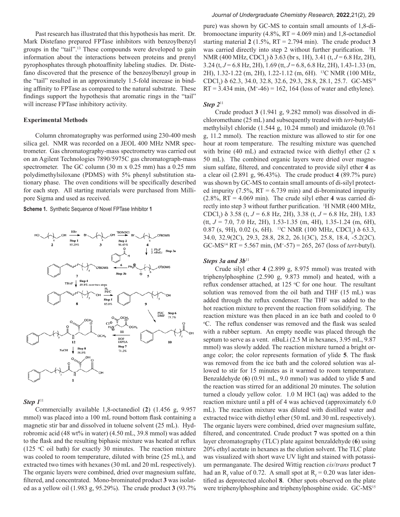Past research has illustrated that this hypothesis has merit. Dr. Mark Distefano prepared FPTase inhibitors with benzoylbenzyl groups in the "tail".13 These compounds were developed to gain information about the interactions between proteins and prenyl pyrophosphates through photoaffinity labeling studies. Dr. Distefano discovered that the presence of the benzoylbenzyl group in the "tail" resulted in an approximately 1.5-fold increase in binding affinity to FPTase as compared to the natural substrate. These findings support the hypothesis that aromatic rings in the "tail" will increase FPTase inhibitory activity.

### **Experimental Methods**

Column chromatography was performed using 230-400 mesh silica gel. NMR was recorded on a JEOL 400 MHz NMR spectrometer. Gas chromatography-mass spectrometry was carried out on an Agilent Technologies 7890/5975C gas chromatograph-mass spectrometer. The GC column (30 m x 0.25 mm) has a 0.25 mm polydimethylsiloxane (PDMS) with 5% phenyl substitution stationary phase. The oven conditions will be specifically described for each step. All starting materials were purchased from Millipore Sigma and used as received.

**Scheme 1.** Synthetic Sequence of Novel FPTase Inhibitor **1**



## *Step 1*<sup>11</sup>

Commercially available 1,8-octanediol (**2**) (1.456 g, 9.957 mmol) was placed into a 100 mL round bottom flask containing a magnetic stir bar and dissolved in toluene solvent (25 mL). Hydrobromic acid (48 wt% in water) (4.50 mL, 39.8 mmol) was added to the flask and the resulting biphasic mixture was heated at reflux  $(125 \degree C)$  oil bath) for exactly 30 minutes. The reaction mixture was cooled to room temperature, diluted with brine (25 mL), and extracted two times with hexanes (30 mL and 20 mL respectively). The organic layers were combined, dried over magnesium sulfate, filtered, and concentrated. Mono-brominated product **3** was isolated as a yellow oil (1.983 g, 95.29%). The crude product **3** (93.7%

#### *Journal of Undergraduate Chemistry Research,* **2022**,21(2), 29

pure) was shown by GC-MS to contain small amounts of 1,8-dibromooctane impurity  $(4.8\%, RT = 4.069 \text{ min})$  and 1,8-octanediol starting material **2** (1.5%, RT = 2.794 min). The crude product **3** was carried directly into step 2 without further purification. <sup>1</sup>H NMR (400 MHz, CDCl<sub>3</sub>)  $\delta$  3.63 (br s, 1H), 3.41 (t, *J* = 6.8 Hz, 2H), 3.24 (t, *J* = 6.8 Hz, 2H), 1.69 (tt, *J* = 6.8, 6.8 Hz, 2H), 1.43-1.33 (m, 2H), 1.32-1.22 (m, 2H), 1.22-1.12 (m, 6H). 13C NMR (100 MHz, CDCl<sub>3</sub>) δ 62.3, 34.0, 32.8, 32.6, 29.3, 28.8, 28.1, 25.7. GC-MS<sup>14</sup>  $RT = 3.434$  min,  $(M^+ - 46) = 162$ , 164 (loss of water and ethylene).

### *Step 2*<sup>11</sup>

Crude product **3** (1.941 g, 9.282 mmol) was dissolved in dichloromethane (25 mL) and subsequently treated with *tert*-butyldimethylsilyl chloride (1.544 g, 10.24 mmol) and imidazole (0.761 g, 11.2 mmol). The reaction mixture was allowed to stir for one hour at room temperature. The resulting mixture was quenched with brine (40 mL) and extracted twice with diethyl ether (2 x 50 mL). The combined organic layers were dried over magnesium sulfate, filtered, and concentrated to provide silyl ether **4** as a clear oil (2.891 g, 96.43%). The crude product **4** (89.7% pure) was shown by GC-MS to contain small amounts of di-silyl protected impurity  $(7.5\%, RT = 6.739 \text{ min})$  and di-brominated impurity (2.8%, RT = 4.069 min). The crude silyl ether **4** was carried directly into step 3 without further purification. <sup>1</sup> H NMR (400 MHz, CDCl3 ) d 3.58 (t, *J* = 6.8 Hz, 2H), 3.38 (t, *J* = 6.8 Hz, 2H), 1.83 (tt, *J* = 7.0, 7.0 Hz, 2H), 1.53-1.35 (m, 4H), 1.35-1.24 (m, 6H), 0.87 (s, 9H), 0.02 (s, 6H). <sup>13</sup>C NMR (100 MHz, CDCl<sub>3</sub>)  $\delta$  63.3, 34.0, 32.9(2C), 29.3, 28.8, 28.2, 26.1(3C), 25.8, 18.4, -5.2(2C). GC-MS14 RT = 5.567 min, (M+ -57) = 265, 267 (loss of *tert*-butyl).

## Steps 3a and 3b<sup>11</sup>

Crude silyl ether **4** (2.899 g, 8.975 mmol) was treated with triphenylphosphine (2.590 g, 9.873 mmol) and heated, with a reflux condenser attached, at 125 °C for one hour. The resultant solution was removed from the oil bath and THF (15 mL) was added through the reflux condenser. The THF was added to the hot reaction mixture to prevent the reaction from solidifying. The reaction mixture was then placed in an ice bath and cooled to 0 o C. The reflux condenser was removed and the flask was sealed with a rubber septum. An empty needle was placed through the septum to serve as a vent. *n*BuLi (2.5 M in hexanes, 3.95 mL, 9.87 mmol) was slowly added. The reaction mixture turned a bright orange color; the color represents formation of ylide **5**. The flask was removed from the ice bath and the colored solution was allowed to stir for 15 minutes as it warmed to room temperature. Benzaldehyde (**6**) (0.91 mL, 9.0 mmol) was added to ylide **5** and the reaction was stirred for an additional 20 minutes. The solution turned a cloudy yellow color. 1.0 M HCl (aq) was added to the reaction mixture until a pH of 4 was achieved (approximately 6.0 mL). The reaction mixture was diluted with distilled water and extracted twice with diethyl ether (50 mL and 30 mL respectively). The organic layers were combined, dried over magnesium sulfate, filtered, and concentrated. Crude product **7** was spotted on a thin layer chromatography (TLC) plate against benzaldehyde (**6**) using 20% ethyl acetate in hexanes as the elution solvent. The TLC plate was visualized with short wave UV light and stained with potassium permanganate. The desired Wittig reaction *cis*/*trans* product **7** had an R<sub>f</sub> value of 0.72. A small spot at  $R_f = 0.20$  was later identified as deprotected alcohol **8**. Other spots observed on the plate were triphenylphosphine and triphenylphosphine oxide. GC-MS<sup>15</sup>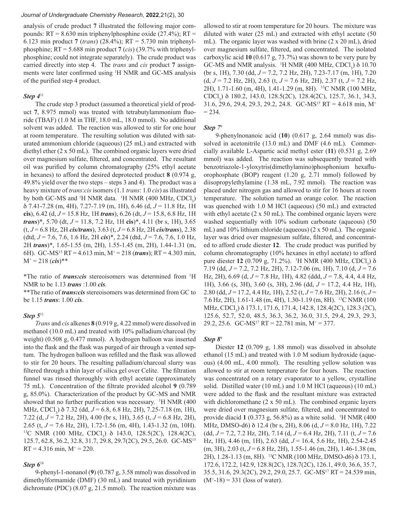#### *Journal of Undergraduate Chemistry Research,* **2022**,21(2), 30

analysis of crude product **7** illustrated the following major compounds:  $RT = 8.630$  min triphenylphosphine oxide (27.4%);  $RT =$ 6.123 min product **7** (*trans*) (28.4%); RT = 5.730 min triphenylphosphine; RT = 5.688 min product **7** (*cis*) (39.7% with triphenylphosphine; could not integrate separately). The crude product was carried directly into step 4. The *trans* and *cis* product **7** assignments were later confirmed using <sup>1</sup> H NMR and GC-MS analysis of the purified step 4 product.

#### *Step 4*<sup>11</sup>

The crude step 3 product (assumed a theoretical yield of product **7**, 8.975 mmol) was treated with tetrabutylammonium fluoride (TBAF) (1.0 M in THF, 18.0 mL, 18.0 mmol). No additional solvent was added. The reaction was allowed to stir for one hour at room temperature. The resulting solution was diluted with saturated ammonium chloride (aqueous) (25 mL) and extracted with diethyl ether (2 x 50 mL). The combined organic layers were dried over magnesium sulfate, filtered, and concentrated. The resultant oil was purified by column chromatography (25% ethyl acetate in hexanes) to afford the desired deprotected product **8** (0.974 g, 49.8% yield over the two steps – steps 3 and 4). The product was a heavy mixture of *trans*:*cis* isomers (1.1 *trans*: 1.0 *cis*) as illustrated by both GC-MS and <sup> $1$ </sup>H NMR data.  $1$ H NMR (400 MHz, CDCl<sub>3</sub>) d 7.41-7.28 (m, 4H), 7.27-7.19 (m, 1H), 6.46 (d, *J* = 11.8 Hz, 1H **cis**), 6.42 (d, *J* = 15.8 Hz, 1H *trans*), 6.26 (dt, *J* = 15.8, 6.8 Hz, 1H *trans*)\*, 5.70 (dt, *J* = 11.8, 7.2 Hz, 1H **cis**)\*, 4.11 (br s, 1H), 3.65 (t, *J* = 6.8 Hz, 2H *cis/trans*), 3.63 (t, *J* = 6.8 Hz, 2H *cis/trans*), 2.38 (dtd, *J* = 7.6, 7.6, 1.6 Hz, 2H *cis*)\*, 2.24 (dtd, *J* = 7.6, 7.6, 1.0 Hz, 2H *trans*)\*, 1.65-1.55 (m, 2H), 1.55-1.45 (m, 2H), 1.44-1.31 (m, 6H). GC-MS15 RT = 4.613 min, M+ = 218 (*trans*); RT = 4.303 min,  $M^+ = 218$  (*cis*)\*\*

\*The ratio of *trans:cis* stereoisomers was determined from 1 H NMR to be 1.13 *trans* :1.00 *cis*.

\*\*The ratio of *trans:cis* stereoisomers was determined from GC to be 1.15 *trans*: 1.00 *cis*.

# *Step 5*<sup>11</sup>

*Trans* and *cis* alkenes **8** (0.919 g, 4.22 mmol) were dissolved in methanol (10.0 mL) and treated with 10% palladium/charcoal (by weight) (0.508 g, 0.477 mmol). A hydrogen balloon was inserted into the flask and the flask was purged of air through a vented septum. The hydrogen balloon was refilled and the flask was allowed to stir for 20 hours. The resulting palladium/charcoal slurry was filtered through a thin layer of silica gel over Celite. The filtration funnel was rinsed thoroughly with ethyl acetate (approximately 75 mL). Concentration of the filtrate provided alcohol **9** (0.789 g, 85.0%). Characterization of the product by GC-MS and NMR showed that no further purification was necessary. <sup>1</sup>H NMR (400) MHz, CDCl<sub>3</sub>)  $\delta$  7.32 (dd, *J* = 6.8, 6.8 Hz, 2H), 7.25-7.18 (m, 1H), 7.22 (d, *J* = 7.2 Hz, 2H), 4.00 (br s, 1H), 3.65 (t, *J* = 6.8 Hz, 2H), 2.65 (t, *J* = 7.6 Hz, 2H), 1.72-1.56 (m, 4H), 1.43-1.32 (m, 10H).<br><sup>13</sup>C NMR (100 MHz, CDCl<sub>3</sub>)  $\delta$  143.0, 128.5(2C), 128.4(2C), 125.7, 62.8, 36.2, 32.8, 31.7, 29.8, 29.7(2C), 29.5, 26.0. GC-MS15  $RT = 4.316$  min,  $M^+ = 220$ .

### *Step 6*<sup>16</sup>

9-phenyl-1-nonanol (**9**) (0.787 g, 3.58 mmol) was dissolved in dimethylformamide (DMF) (30 mL) and treated with pyridinium dichromate (PDC) (8.07 g, 21.5 mmol). The reaction mixture was allowed to stir at room temperature for 20 hours. The mixture was diluted with water (25 mL) and extracted with ethyl acetate (50 mL). The organic layer was washed with brine (2 x 20 mL), dried over magnesium sulfate, filtered, and concentrated. The isolated carboxylic acid **10** (0.617 g, 73.7%) was shown to be very pure by GC-MS and NMR analysis.  $\,$ <sup>1</sup>H NMR (400 MHz, CDCl<sub>3</sub>)  $\delta$  10.70 (br s, 1H), 7.30 (dd, *J* = 7.2, 7.2 Hz, 2H), 7.23-7.17 (m, 1H), 7.20 (d, *J* = 7.2 Hz, 2H), 2.63 (t, *J* = 7.6 Hz, 2H), 2.37 (t, *J* = 7.2 Hz, 2H), 1.71-1.60 (m, 4H), 1.41-1.29 (m, 8H). 13C NMR (100 MHz, CDCl<sub>3</sub>) δ 180.2, 143.0, 128.5(2C), 128.4(2C), 125.7, 36.1, 34.3, 31.6, 29.6, 29.4, 29.3, 29.2, 24.8. GC-MS15 RT = 4.618 min, M+  $= 234.$ 

#### *Step 7*<sup>9</sup>

9-phenylnonanoic acid (**10**) (0.617 g, 2.64 mmol) was dissolved in acetonitrile (13.0 mL) and DMF (4.6 mL). Commercially available L-Aspartic acid methyl ester (**11**) (0.531 g, 2.69 mmol) was added. The reaction was subsequently treated with benzotriazole-1-yloxytris(dimethylamino)phosphonium hexafluorophosphate (BOP) reagent (1.20 g, 2.71 mmol) followed by diisopropylethylamine (1.38 mL, 7.92 mmol). The reaction was placed under nitrogen gas and allowed to stir for 16 hours at room temperature. The solution turned an orange color. The reaction was quenched with 1.0 M HCl (aqueous) (50 mL) and extracted with ethyl acetate (2 x 50 mL). The combined organic layers were washed sequentially with 10% sodium carbonate (aqueous) (50 mL) and 10% lithium chloride (aqueous) (2 x 50 mL). The organic layer was dried over magnesium sulfate, filtered, and concentrated to afford crude diester **12**. The crude product was purified by column chromatography (10% hexanes in ethyl acetate) to afford pure diester **12** (0.709 g, 71.2%). <sup>1</sup>H NMR (400 MHz, CDCl<sub>3</sub>) δ 7.19 (dd, *J* = 7.2, 7.2 Hz, 2H), 7.12-7.06 (m, 1H), 7.10 (d, *J* = 7.6 Hz, 2H), 6.69 (d, *J* = 7.8 Hz, 1H), 4.82 (ddd, *J* = 7.8, 4.4, 4.4 Hz, 1H), 3.66 (s, 3H), 3.60 (s, 3H), 2.96 (dd, *J* = 17.2, 4.4 Hz, 1H), 2.80 (dd, *J* = 17.2, 4.4 Hz, 1H), 2.52 (t, *J* = 7.6 Hz, 2H), 2.16 (t, *J* = 7.6 Hz, 2H), 1.61-1.48 (m, 4H), 1.30-1.19 (m, 8H). 13C NMR (100 MHz, CDCl<sub>3</sub>) δ 173.1, 171.6, 171.4, 142.8, 128.4(2C), 128.3 (2C), 125.6, 52.7, 52.0, 48.5, 36.3, 36.2, 36.0, 31.5, 29.4, 29.3, 29.3, 29.2, 25.6. GC-MS<sup>17</sup> RT = 22.781 min, M<sup>+</sup> = 377.

#### *Step 8*<sup>9</sup>

Diester **12** (0.709 g, 1.88 mmol) was dissolved in absolute ethanol (15 mL) and treated with 1.0 M sodium hydroxide (aqueous) (4.00 mL, 4.00 mmol). The resulting yellow solution was allowed to stir at room temperature for four hours. The reaction was concentrated on a rotary evaporator to a yellow, crystalline solid. Distilled water (10 mL) and 1.0 M HCl (aqueous) (10 mL) were added to the flask and the resultant mixture was extracted with dichloromethane (2 x 50 mL). The combined organic layers were dried over magnesium sulfate, filtered, and concentrated to provide diacid **1** (0.373 g, 56.8%) as a white solid. 1 H NMR (400 MHz, DMSO-d6) d 12.4 (br s, 2H), 8.06 (d, *J* = 8.0 Hz, 1H), 7.22 (dd, *J* = 7.2, 7.2 Hz, 2H), 7.14 (d, *J* = 6.4 Hz, 2H), 7.11 (t, *J* = 7.6 Hz, 1H), 4.46 (m, 1H), 2.63 (dd, *J* = 16.4, 5.6 Hz, 1H), 2.54-2.45 (m, 3H), 2.03 (t, *J* = 6.8 Hz, 2H), 1.55-1.46 (m, 2H), 1.46-1.38 (m, 2H), 1.28-1.13 (m, 8H). 13C NMR (100 MHz, DMSO-d6) d 173.1, 172.6, 172.2, 142.9, 128.8(2C), 128.7(2C), 126.1, 49.0, 36.6, 35.7, 35.5, 31.6, 29.3(2C), 29.2, 29.0, 25.7. GC-MS17 RT = 24.539 min,  $(M<sup>+</sup>-18) = 331$  (loss of water).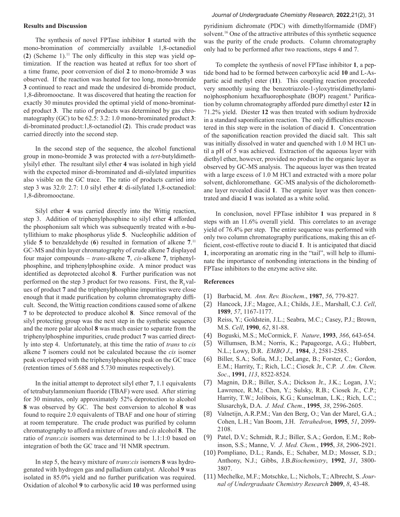#### **Results and Discussion**

The synthesis of novel FPTase inhibitor **1** started with the mono-bromination of commercially available 1,8-octanediol  $(2)$  (Scheme 1).<sup>11</sup> The only difficulty in this step was yield optimization. If the reaction was heated at reflux for too short of a time frame, poor conversion of diol **2** to mono-bromide **3** was observed. If the reaction was heated for too long, mono-bromide **3** continued to react and made the undesired di-bromide product, 1,8-dibromooctane. It was discovered that heating the reaction for exactly 30 minutes provided the optimal yield of mono-brominated product **3**. The ratio of products was determined by gas chromatography (GC) to be 62.5: 3.2: 1.0 mono-brominated product **3**: di-brominated product:1,8-octanediol (**2**). This crude product was carried directly into the second step.

In the second step of the sequence, the alcohol functional group in mono-bromide **3** was protected with a *tert*-butyldimethylsilyl ether. The resultant silyl ether **4** was isolated in high yield with the expected minor di-brominated and di-silylated impurities also visible on the GC trace. The ratio of products carried into step 3 was 32.0: 2.7: 1.0 silyl ether **4**: di-silylated 1,8-octanediol: 1,8-dibromooctane.

Silyl ether **4** was carried directly into the Wittig reaction, step 3. Addition of triphenylphosphine to silyl ether **4** afforded the phosphonium salt which was subsequently treated with *n*-butyllithium to make phosphorus ylide **5**. Nucleophilic addition of ylide **5** to benzaldehyde (**6**) resulted in formation of alkene **7**. 11 GC-MS and thin layer chromatography of crude alkene **7** displayed four major compounds – *trans*-alkene **7**, *cis*-alkene **7**, triphenylphosphine, and triphenylphosphine oxide. A minor product was identified as deprotected alcohol **8**. Further purification was not performed on the step 3 product for two reasons. First, the  $R_x$  values of product **7** and the triphenylphosphine impurities were close enough that it made purification by column chromatography difficult. Second, the Wittig reaction conditions caused some of alkene **7** to be deprotected to produce alcohol **8**. Since removal of the silyl protecting group was the next step in the synthetic sequence and the more polar alcohol **8** was much easier to separate from the triphenylphosphine impurities, crude product **7** was carried directly into step 4. Unfortunately, at this time the ratio of *trans* to *cis* alkene **7** isomers could not be calculated because the *cis* isomer peak overlapped with the triphenylphosphine peak on the GC trace (retention times of 5.688 and 5.730 minutes respectively).

In the initial attempt to deprotect silyl ether **7**, 1.1 equivalents of tetrabutylammonium fluoride (TBAF) were used. After stirring for 30 minutes, only approximately 52% deprotection to alcohol **8** was observed by GC. The best conversion to alcohol **8** was found to require 2.0 equivalents of TBAF and one hour of stirring at room temperature. The crude product was purified by column chromatography to afford a mixture of *trans* and *cis* alcohol **8**. The ratio of *trans*:*cis* isomers was determined to be 1.1:1:0 based on integration of both the GC trace and 1 H NMR spectrum.

In step 5, the heavy mixture of *trans*:*cis* isomers **8** was hydrogenated with hydrogen gas and palladium catalyst. Alcohol **9** was isolated in 85.0% yield and no further purification was required. Oxidation of alcohol **9** to carboxylic acid **10** was performed using

# *Journal of Undergraduate Chemistry Research,* **2022**,21(2), 31

pyridinium dichromate (PDC) with dimethylformamide (DMF) solvent.16 One of the attractive attributes of this synthetic sequence was the purity of the crude products. Column chromatography only had to be performed after two reactions, steps 4 and 7.

To complete the synthesis of novel FPTase inhibitor **1**, a peptide bond had to be formed between carboxylic acid **10** and L-Aspartic acid methyl ester (**11**). This coupling reaction proceeded very smoothly using the benzotriazole-1-yloxytris(dimethylamino)phosphonium hexafluorophosphate (BOP) reagent.<sup>9</sup> Purification by column chromatography afforded pure dimethyl ester **12** in 71.2% yield. Diester **12** was then treated with sodium hydroxide in a standard saponification reaction. The only difficulties encountered in this step were in the isolation of diacid **1**. Concentration of the saponification reaction provided the diacid salt. This salt was initially dissolved in water and quenched with 1.0 M HCl until a pH of 5 was achieved. Extraction of the aqueous layer with diethyl ether, however, provided no product in the organic layer as observed by GC-MS analysis. The aqueous layer was then treated with a large excess of 1.0 M HCl and extracted with a more polar solvent, dichloromethane. GC-MS analysis of the dicholoromethane layer revealed diacid **1**. The organic layer was then concentrated and diacid **1** was isolated as a white solid.

In conclusion, novel FPTase inhibitor **1** was prepared in 8 steps with an 11.6% overall yield. This correlates to an average yield of 76.4% per step. The entire sequence was performed with only two column chromatography purifications, making this an efficient, cost-effective route to diacid **1**. It is anticipated that diacid **1**, incorporating an aromatic ring in the "tail", will help to illuminate the importance of nonbonding interactions in the binding of FPTase inhibitors to the enzyme active site.

#### **References**

- (1) Barbacid, M. *Ann. Rev. Biochem*., **1987**, *56*, 779-827.
- (2) Hancock, J.F.; Magee, A.I.; Childs, J.E., Marshall, C.J. *Cell*, **1989**, *57*, 1167-1177.
- (3) Reiss, Y.; Goldstein, J.L.; Seabra, M.C.; Casey, P.J.; Brown, M.S. *Cell*, **1990**, *62*, 81-88.
- (4) Boguski, M.S.; McCormick, F. *Nature*, **1993**, *366*, 643-654.
- (5) Willumsen, B.M.; Norris, K.; Papageorge, A.G.; Hubbert, N.L.; Lowy, D.R. *EMBO J*., **1984**, *3*, 2581-2585.
- (6) Biller, S.A.; Sofia, M.J.; DeLange, B.; Forster, C.; Gordon, E.M.; Harrity, T.; Rich, L.C.; Ciosek Jr., C.P. *J. Am. Chem. Soc*., **1991**, *113*, 8522-8524.
- (7) Magnin, D.R.; Biller, S.A.; Dickson Jr., J.K.; Logan, J.V.; Lawrence, R.M.; Chen, Y.; Sulsky, R.B.; Ciosek Jr., C.P.; Harrity, T.W.; Jolibois, K.G.; Kunselman, L.K.; Rich, L.C.; Slusarchyk, D.A. *J. Med. Chem*., **1995**, *38*, 2596-2605.
- (8) Valnetijn, A.R.P.M.; Van den Berg, O.; Van der Marel, G.A.; Cohen, L.H.; Van Boom, J.H. *Tetrahedron*, **1995**, *51*, 2099- 2108.
- (9) Patel, D.V.; Schmidt, R.J.; Biller, S.A.; Gordon, E.M.; Robinson, S.S.; Manne, V. *J. Med. Chem.*, **1995**, *38*, 2906-2921.
- (10) Pompliano, D.L.; Rands, E.; Schaber, M.D.; Mosser, S.D.; Anthony, N.J.; Gibbs, J.B.*Biochemistry*, **1992**, *31*, 3800- 3807.
- (11) Mechelke, M.F.; Motschke, L.; Nichols, T.; Albrecht, S. *Journal of Undergraduate Chemistry Research* **2009**, *8*, 43-48.